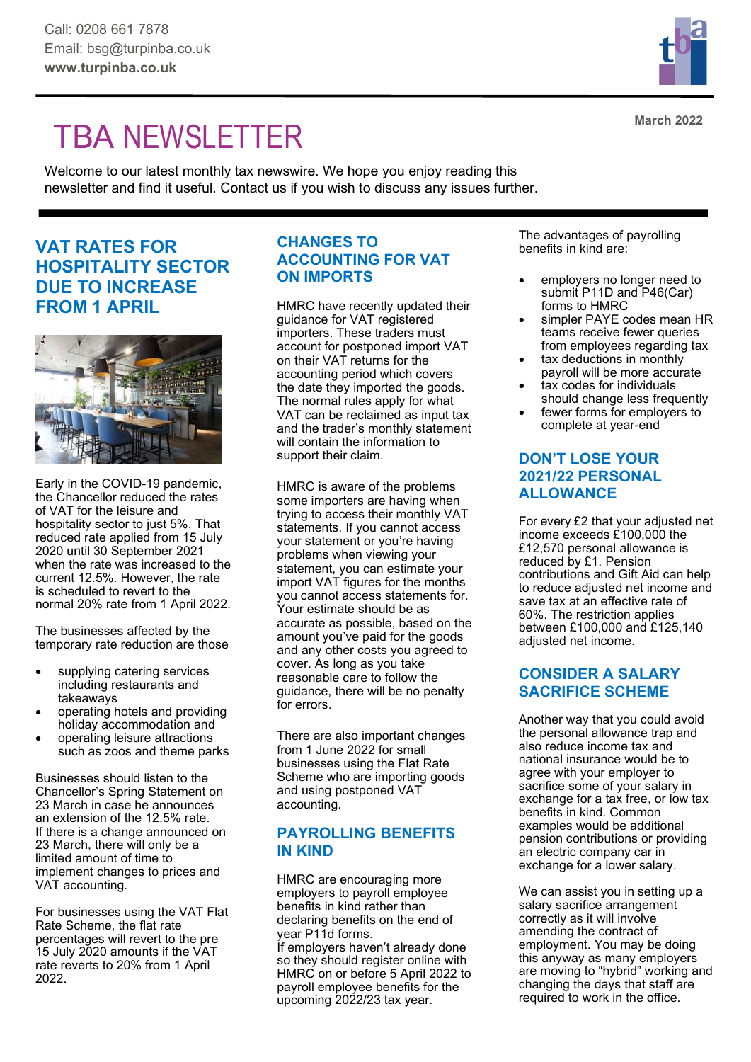# March 2022 TBA NEWSLETTER

Welcome to our latest monthly tax newswire. We hope you enjoy reading this newsletter and find it useful. Contact us if you wish to discuss any issues further.

# VAT RATES FOR HOSPITALITY SECTOR DUE TO INCREASE FROM 1 APRIL



Early in the COVID-19 pandemic, the Chancellor reduced the rates of VAT for the leisure and hospitality sector to just 5%. That reduced rate applied from 15 July 2020 until 30 September 2021 when the rate was increased to the current 12.5%. However, the rate is scheduled to revert to the normal 20% rate from 1 April 2022.

The businesses affected by the temporary rate reduction are those

- supplying catering services including restaurants and takeaways
- operating hotels and providing holiday accommodation and
- operating leisure attractions such as zoos and theme parks

Businesses should listen to the Chancellor's Spring Statement on 23 March in case he announces an extension of the 12.5% rate. If there is a change announced on 23 March, there will only be a limited amount of time to implement changes to prices and VAT accounting.

For businesses using the VAT Flat Rate Scheme, the flat rate percentages will revert to the pre 15 July 2020 amounts if the VAT rate reverts to 20% from 1 April 2022.

### CHANGES TO ACCOUNTING FOR VAT ON IMPORTS

HMRC have recently updated their guidance for VAT registered importers. These traders must account for postponed import VAT on their VAT returns for the accounting period which covers the date they imported the goods. The normal rules apply for what VAT can be reclaimed as input tax and the trader's monthly statement will contain the information to support their claim.

HMRC is aware of the problems some importers are having when trying to access their monthly VAT statements. If you cannot access your statement or you're having problems when viewing your statement, you can estimate your import VAT figures for the months you cannot access statements for. Your estimate should be as accurate as possible, based on the amount you've paid for the goods and any other costs you agreed to cover. As long as you take reasonable care to follow the guidance, there will be no penalty for errors.

There are also important changes from 1 June 2022 for small businesses using the Flat Rate Scheme who are importing goods and using postponed VAT accounting.

### PAYROLLING BENEFITS IN KIND

HMRC are encouraging more employers to payroll employee benefits in kind rather than declaring benefits on the end of year P11d forms. If emplovers haven't already done so they should register online with HMRC on or before 5 April 2022 to payroll employee benefits for the upcoming 2022/23 tax year.

The advantages of payrolling benefits in kind are:

- employers no longer need to submit P11D and P46(Car) forms to HMRC
- simpler PAYE codes mean HR teams receive fewer queries from employees regarding tax
- tax deductions in monthly payroll will be more accurate
- tax codes for individuals should change less frequently
- fewer forms for employers to complete at year-end

### DON'T LOSE YOUR 2021/22 PERSONAL ALLOWANCE

For every £2 that your adjusted net income exceeds £100,000 the £12,570 personal allowance is reduced by £1. Pension contributions and Gift Aid can help to reduce adjusted net income and save tax at an effective rate of 60%. The restriction applies between £100,000 and £125,140 adjusted net income.

### CONSIDER A SALARY SACRIFICE SCHEME

Another way that you could avoid the personal allowance trap and also reduce income tax and national insurance would be to agree with your employer to sacrifice some of your salary in exchange for a tax free, or low tax benefits in kind. Common examples would be additional pension contributions or providing an electric company car in exchange for a lower salary.

We can assist you in setting up a salary sacrifice arrangement correctly as it will involve amending the contract of employment. You may be doing this anyway as many employers are moving to "hybrid" working and changing the days that staff are required to work in the office.